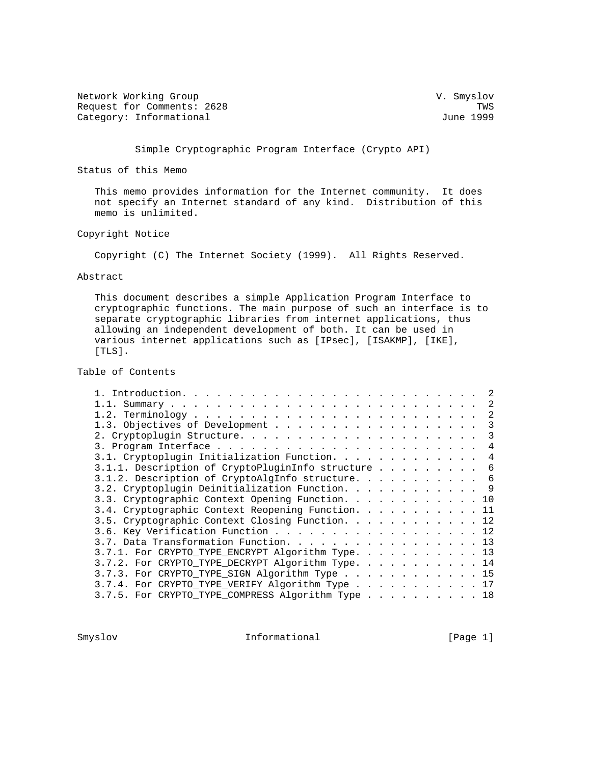Network Working Group variation of the U.S. Smyslov Request for Comments: 2628 TWS<br>
Category: Informational and the comments: 2628 TWS Category: Informational

Simple Cryptographic Program Interface (Crypto API)

Status of this Memo

 This memo provides information for the Internet community. It does not specify an Internet standard of any kind. Distribution of this memo is unlimited.

Copyright Notice

Copyright (C) The Internet Society (1999). All Rights Reserved.

#### Abstract

 This document describes a simple Application Program Interface to cryptographic functions. The main purpose of such an interface is to separate cryptographic libraries from internet applications, thus allowing an independent development of both. It can be used in various internet applications such as [IPsec], [ISAKMP], [IKE], [TLS].

Table of Contents

|                                                    |  |  |  |  |  | -2 |
|----------------------------------------------------|--|--|--|--|--|----|
|                                                    |  |  |  |  |  | 3  |
|                                                    |  |  |  |  |  | 3  |
|                                                    |  |  |  |  |  | 4  |
| 3.1. Cryptoplugin Initialization Function.         |  |  |  |  |  | 4  |
| 3.1.1. Description of CryptoPluginInfo structure 6 |  |  |  |  |  |    |
| 3.1.2. Description of CryptoAlgInfo structure. 6   |  |  |  |  |  |    |
| 3.2. Cryptoplugin Deinitialization Function. 9     |  |  |  |  |  |    |
| 3.3. Cryptographic Context Opening Function. 10    |  |  |  |  |  |    |
| 3.4. Cryptographic Context Reopening Function. 11  |  |  |  |  |  |    |
| 3.5. Cryptographic Context Closing Function. 12    |  |  |  |  |  |    |
| 3.6. Key Verification Function 12                  |  |  |  |  |  |    |
| 3.7. Data Transformation Function. 13              |  |  |  |  |  |    |
| 3.7.1. For CRYPTO_TYPE_ENCRYPT Algorithm Type. 13  |  |  |  |  |  |    |
| 3.7.2. For CRYPTO_TYPE_DECRYPT Algorithm Type. 14  |  |  |  |  |  |    |
| 3.7.3. For CRYPTO_TYPE_SIGN Algorithm Type 15      |  |  |  |  |  |    |
| 3.7.4. For CRYPTO_TYPE_VERIFY Algorithm Type 17    |  |  |  |  |  |    |
| 3.7.5. For CRYPTO_TYPE_COMPRESS Algorithm Type 18  |  |  |  |  |  |    |
|                                                    |  |  |  |  |  |    |

Smyslov **Informational** [Page 1]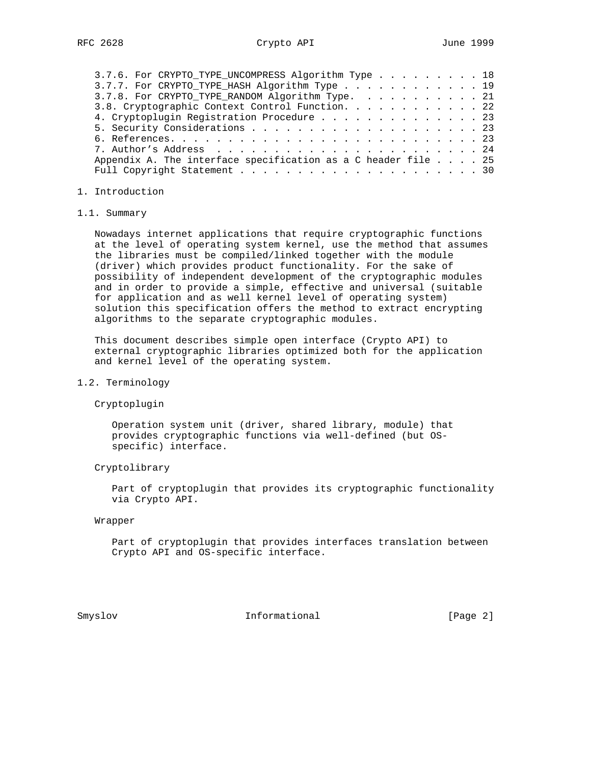| 3.7.6. For CRYPTO_TYPE_UNCOMPRESS Algorithm Type 18                    |  |  |  |
|------------------------------------------------------------------------|--|--|--|
| 3.7.7. For CRYPTO_TYPE_HASH Algorithm Type 19                          |  |  |  |
| 3.7.8. For CRYPTO_TYPE_RANDOM Algorithm Type. 21                       |  |  |  |
| 3.8. Cryptographic Context Control Function. 22                        |  |  |  |
| 4. Cryptoplugin Registration Procedure 23                              |  |  |  |
|                                                                        |  |  |  |
|                                                                        |  |  |  |
|                                                                        |  |  |  |
| Appendix A. The interface specification as a C header file $\ldots$ 25 |  |  |  |
|                                                                        |  |  |  |

### 1. Introduction

#### 1.1. Summary

 Nowadays internet applications that require cryptographic functions at the level of operating system kernel, use the method that assumes the libraries must be compiled/linked together with the module (driver) which provides product functionality. For the sake of possibility of independent development of the cryptographic modules and in order to provide a simple, effective and universal (suitable for application and as well kernel level of operating system) solution this specification offers the method to extract encrypting algorithms to the separate cryptographic modules.

 This document describes simple open interface (Crypto API) to external cryptographic libraries optimized both for the application and kernel level of the operating system.

## 1.2. Terminology

Cryptoplugin

 Operation system unit (driver, shared library, module) that provides cryptographic functions via well-defined (but OS specific) interface.

#### Cryptolibrary

 Part of cryptoplugin that provides its cryptographic functionality via Crypto API.

#### Wrapper

 Part of cryptoplugin that provides interfaces translation between Crypto API and OS-specific interface.

Smyslov **Informational** [Page 2]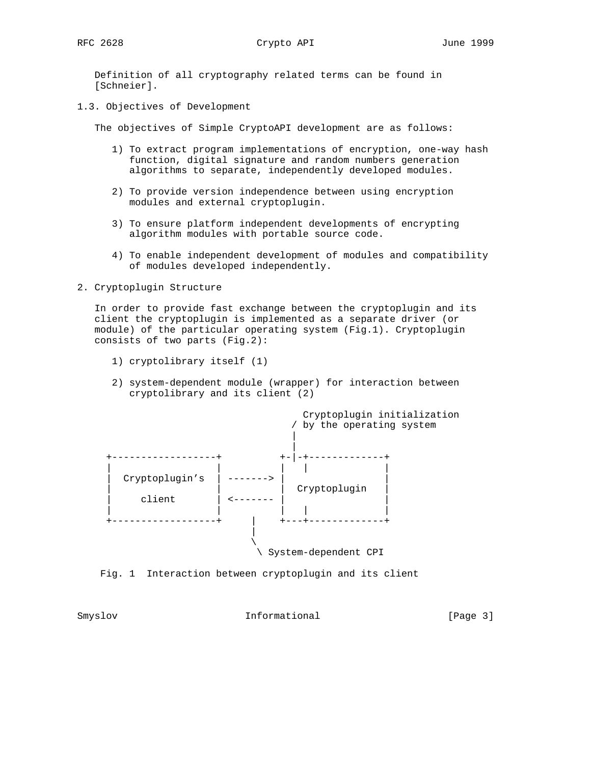Definition of all cryptography related terms can be found in [Schneier].

1.3. Objectives of Development

The objectives of Simple CryptoAPI development are as follows:

- 1) To extract program implementations of encryption, one-way hash function, digital signature and random numbers generation algorithms to separate, independently developed modules.
- 2) To provide version independence between using encryption modules and external cryptoplugin.
- 3) To ensure platform independent developments of encrypting algorithm modules with portable source code.
- 4) To enable independent development of modules and compatibility of modules developed independently.

2. Cryptoplugin Structure

 In order to provide fast exchange between the cryptoplugin and its client the cryptoplugin is implemented as a separate driver (or module) of the particular operating system (Fig.1). Cryptoplugin consists of two parts (Fig.2):

- 1) cryptolibrary itself (1)
- 2) system-dependent module (wrapper) for interaction between cryptolibrary and its client (2)



Fig. 1 Interaction between cryptoplugin and its client

Smyslov **Informational** [Page 3]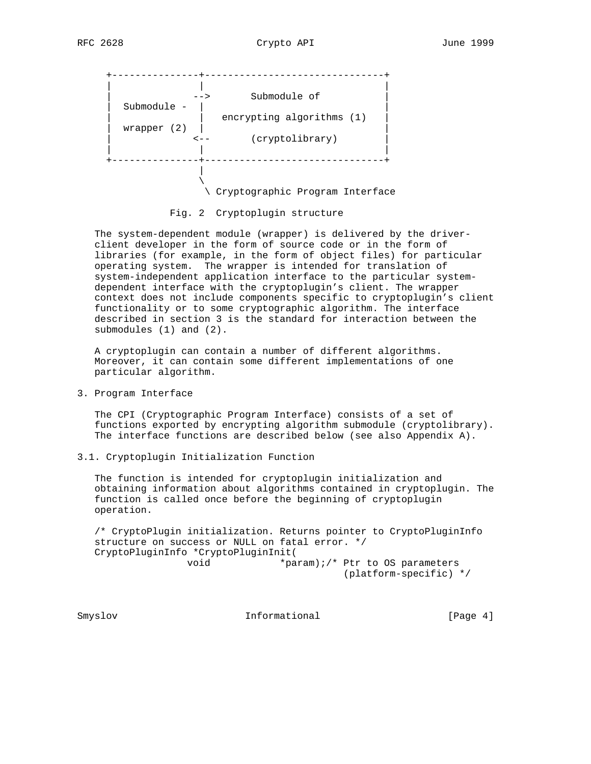

Fig. 2 Cryptoplugin structure

The system-dependent module (wrapper) is delivered by the driver client developer in the form of source code or in the form of libraries (for example, in the form of object files) for particular operating system. The wrapper is intended for translation of system-independent application interface to the particular system dependent interface with the cryptoplugin's client. The wrapper context does not include components specific to cryptoplugin's client functionality or to some cryptographic algorithm. The interface described in section 3 is the standard for interaction between the submodules (1) and (2).

 A cryptoplugin can contain a number of different algorithms. Moreover, it can contain some different implementations of one particular algorithm.

3. Program Interface

 The CPI (Cryptographic Program Interface) consists of a set of functions exported by encrypting algorithm submodule (cryptolibrary). The interface functions are described below (see also Appendix A).

3.1. Cryptoplugin Initialization Function

 The function is intended for cryptoplugin initialization and obtaining information about algorithms contained in cryptoplugin. The function is called once before the beginning of cryptoplugin operation.

 /\* CryptoPlugin initialization. Returns pointer to CryptoPluginInfo structure on success or NULL on fatal error. \*/ CryptoPluginInfo \*CryptoPluginInit( void \*param);/\* Ptr to OS parameters

(platform-specific) \*/

Smyslov **Informational** [Page 4]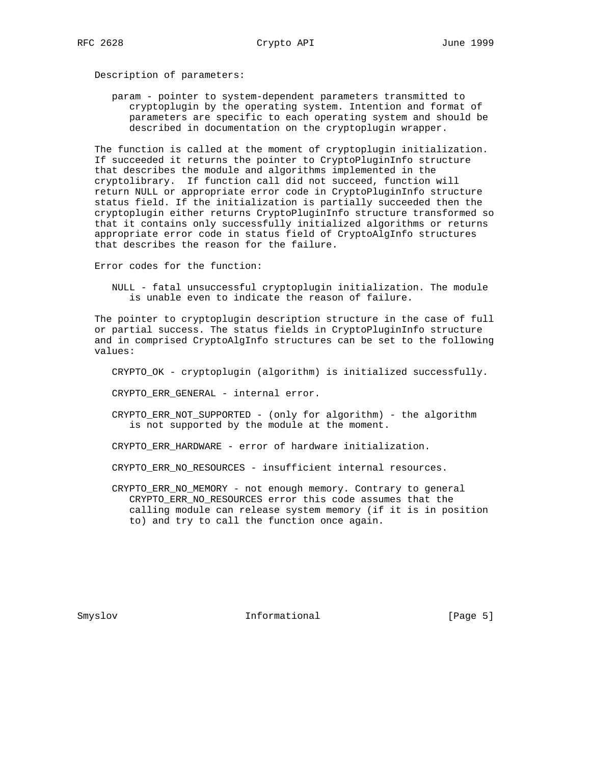Description of parameters:

 param - pointer to system-dependent parameters transmitted to cryptoplugin by the operating system. Intention and format of parameters are specific to each operating system and should be described in documentation on the cryptoplugin wrapper.

 The function is called at the moment of cryptoplugin initialization. If succeeded it returns the pointer to CryptoPluginInfo structure that describes the module and algorithms implemented in the cryptolibrary. If function call did not succeed, function will return NULL or appropriate error code in CryptoPluginInfo structure status field. If the initialization is partially succeeded then the cryptoplugin either returns CryptoPluginInfo structure transformed so that it contains only successfully initialized algorithms or returns appropriate error code in status field of CryptoAlgInfo structures that describes the reason for the failure.

Error codes for the function:

 NULL - fatal unsuccessful cryptoplugin initialization. The module is unable even to indicate the reason of failure.

 The pointer to cryptoplugin description structure in the case of full or partial success. The status fields in CryptoPluginInfo structure and in comprised CryptoAlgInfo structures can be set to the following values:

CRYPTO\_OK - cryptoplugin (algorithm) is initialized successfully.

CRYPTO ERR GENERAL - internal error.

- CRYPTO\_ERR\_NOT\_SUPPORTED (only for algorithm) the algorithm is not supported by the module at the moment.
- CRYPTO\_ERR\_HARDWARE error of hardware initialization.
- CRYPTO\_ERR\_NO\_RESOURCES insufficient internal resources.
- CRYPTO\_ERR\_NO\_MEMORY not enough memory. Contrary to general CRYPTO\_ERR\_NO\_RESOURCES error this code assumes that the calling module can release system memory (if it is in position to) and try to call the function once again.

Smyslov **Informational** [Page 5]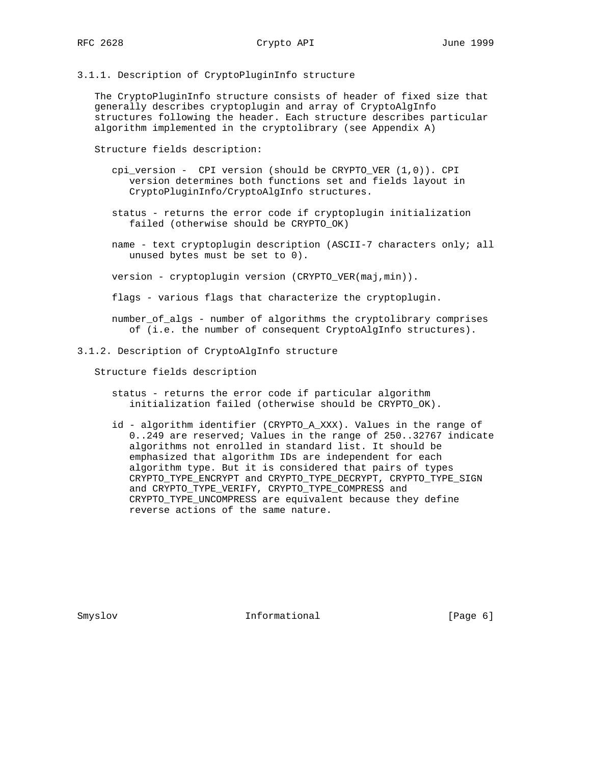## 3.1.1. Description of CryptoPluginInfo structure

 The CryptoPluginInfo structure consists of header of fixed size that generally describes cryptoplugin and array of CryptoAlgInfo structures following the header. Each structure describes particular algorithm implemented in the cryptolibrary (see Appendix A)

Structure fields description:

- cpi\_version CPI version (should be CRYPTO\_VER (1,0)). CPI version determines both functions set and fields layout in CryptoPluginInfo/CryptoAlgInfo structures.
- status returns the error code if cryptoplugin initialization failed (otherwise should be CRYPTO\_OK)
- name text cryptoplugin description (ASCII-7 characters only; all unused bytes must be set to 0).

version - cryptoplugin version (CRYPTO\_VER(maj,min)).

flags - various flags that characterize the cryptoplugin.

 number\_of\_algs - number of algorithms the cryptolibrary comprises of (i.e. the number of consequent CryptoAlgInfo structures).

#### 3.1.2. Description of CryptoAlgInfo structure

Structure fields description

- status returns the error code if particular algorithm initialization failed (otherwise should be CRYPTO\_OK).
- id algorithm identifier (CRYPTO\_A\_XXX). Values in the range of 0..249 are reserved; Values in the range of 250..32767 indicate algorithms not enrolled in standard list. It should be emphasized that algorithm IDs are independent for each algorithm type. But it is considered that pairs of types CRYPTO\_TYPE\_ENCRYPT and CRYPTO\_TYPE\_DECRYPT, CRYPTO\_TYPE\_SIGN and CRYPTO\_TYPE\_VERIFY, CRYPTO\_TYPE\_COMPRESS and CRYPTO\_TYPE\_UNCOMPRESS are equivalent because they define reverse actions of the same nature.

Smyslov **Informational** [Page 6]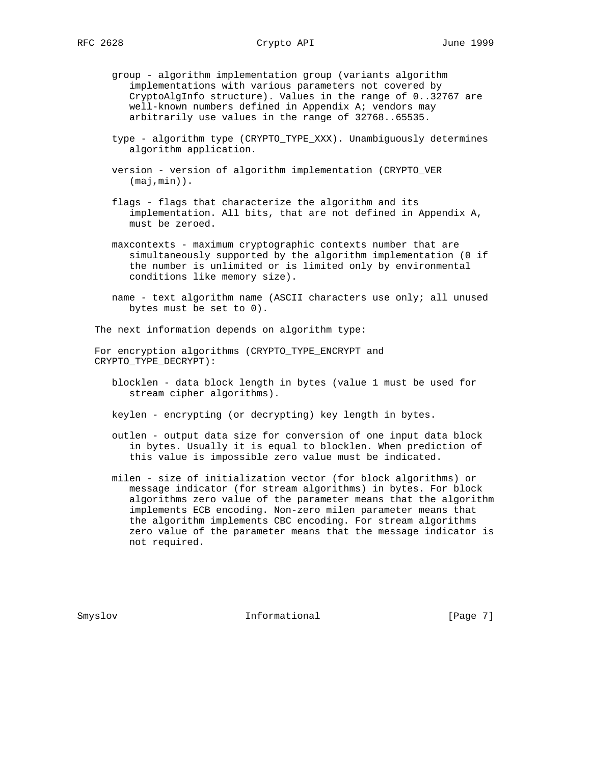- group algorithm implementation group (variants algorithm implementations with various parameters not covered by CryptoAlgInfo structure). Values in the range of 0..32767 are well-known numbers defined in Appendix A; vendors may arbitrarily use values in the range of 32768..65535.
- type algorithm type (CRYPTO\_TYPE\_XXX). Unambiguously determines algorithm application.
- version version of algorithm implementation (CRYPTO\_VER (maj,min)).
- flags flags that characterize the algorithm and its implementation. All bits, that are not defined in Appendix A, must be zeroed.
- maxcontexts maximum cryptographic contexts number that are simultaneously supported by the algorithm implementation (0 if the number is unlimited or is limited only by environmental conditions like memory size).
- name text algorithm name (ASCII characters use only; all unused bytes must be set to 0).

The next information depends on algorithm type:

 For encryption algorithms (CRYPTO\_TYPE\_ENCRYPT and CRYPTO\_TYPE\_DECRYPT):

 blocklen - data block length in bytes (value 1 must be used for stream cipher algorithms).

keylen - encrypting (or decrypting) key length in bytes.

- outlen output data size for conversion of one input data block in bytes. Usually it is equal to blocklen. When prediction of this value is impossible zero value must be indicated.
- milen size of initialization vector (for block algorithms) or message indicator (for stream algorithms) in bytes. For block algorithms zero value of the parameter means that the algorithm implements ECB encoding. Non-zero milen parameter means that the algorithm implements CBC encoding. For stream algorithms zero value of the parameter means that the message indicator is not required.

Smyslov **Informational** [Page 7]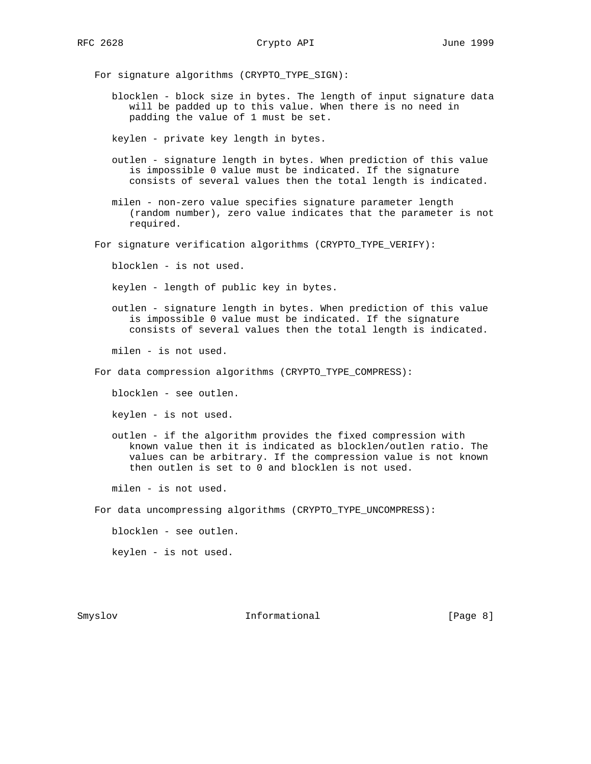For signature algorithms (CRYPTO\_TYPE\_SIGN):

 blocklen - block size in bytes. The length of input signature data will be padded up to this value. When there is no need in padding the value of 1 must be set.

keylen - private key length in bytes.

- outlen signature length in bytes. When prediction of this value is impossible 0 value must be indicated. If the signature consists of several values then the total length is indicated.
- milen non-zero value specifies signature parameter length (random number), zero value indicates that the parameter is not required.
- For signature verification algorithms (CRYPTO\_TYPE\_VERIFY):

blocklen - is not used.

keylen - length of public key in bytes.

 outlen - signature length in bytes. When prediction of this value is impossible 0 value must be indicated. If the signature consists of several values then the total length is indicated.

milen - is not used.

For data compression algorithms (CRYPTO\_TYPE\_COMPRESS):

blocklen - see outlen.

keylen - is not used.

 outlen - if the algorithm provides the fixed compression with known value then it is indicated as blocklen/outlen ratio. The values can be arbitrary. If the compression value is not known then outlen is set to 0 and blocklen is not used.

milen - is not used.

For data uncompressing algorithms (CRYPTO\_TYPE\_UNCOMPRESS):

blocklen - see outlen.

keylen - is not used.

Smyslov **Informational** [Page 8]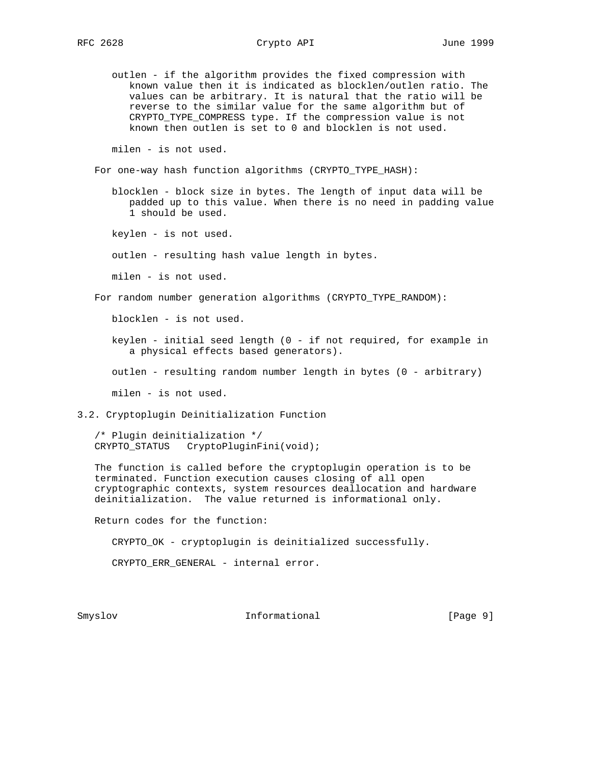RFC 2628 Crypto API June 1999

 outlen - if the algorithm provides the fixed compression with known value then it is indicated as blocklen/outlen ratio. The values can be arbitrary. It is natural that the ratio will be reverse to the similar value for the same algorithm but of CRYPTO\_TYPE\_COMPRESS type. If the compression value is not known then outlen is set to 0 and blocklen is not used.

milen - is not used.

For one-way hash function algorithms (CRYPTO\_TYPE\_HASH):

 blocklen - block size in bytes. The length of input data will be padded up to this value. When there is no need in padding value 1 should be used.

keylen - is not used.

outlen - resulting hash value length in bytes.

milen - is not used.

For random number generation algorithms (CRYPTO\_TYPE\_RANDOM):

blocklen - is not used.

 keylen - initial seed length (0 - if not required, for example in a physical effects based generators).

outlen - resulting random number length in bytes (0 - arbitrary)

milen - is not used.

3.2. Cryptoplugin Deinitialization Function

 /\* Plugin deinitialization \*/ CRYPTO\_STATUS CryptoPluginFini(void);

 The function is called before the cryptoplugin operation is to be terminated. Function execution causes closing of all open cryptographic contexts, system resources deallocation and hardware deinitialization. The value returned is informational only.

Return codes for the function:

CRYPTO\_OK - cryptoplugin is deinitialized successfully.

CRYPTO\_ERR\_GENERAL - internal error.

Smyslov **Informational** [Page 9]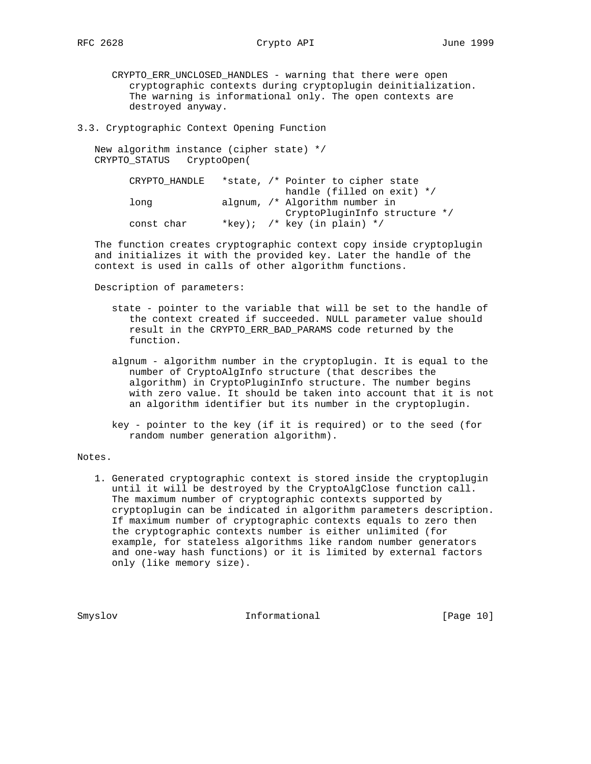# RFC 2628 Crypto API June 1999

 CRYPTO\_ERR\_UNCLOSED\_HANDLES - warning that there were open cryptographic contexts during cryptoplugin deinitialization. The warning is informational only. The open contexts are destroyed anyway.

3.3. Cryptographic Context Opening Function

 New algorithm instance (cipher state) \*/ CRYPTO\_STATUS CryptoOpen(

| CRYPTO HANDLE | *state, /* Pointer to cipher state |  |
|---------------|------------------------------------|--|
|               | handle (filled on exit) $*/$       |  |
| long          | algnum, /* Algorithm number in     |  |
|               | CryptoPluginInfo structure */      |  |
| const char    | *key); /* key (in plain) */        |  |

 The function creates cryptographic context copy inside cryptoplugin and initializes it with the provided key. Later the handle of the context is used in calls of other algorithm functions.

Description of parameters:

- state pointer to the variable that will be set to the handle of the context created if succeeded. NULL parameter value should result in the CRYPTO\_ERR\_BAD\_PARAMS code returned by the function.
- algnum algorithm number in the cryptoplugin. It is equal to the number of CryptoAlgInfo structure (that describes the algorithm) in CryptoPluginInfo structure. The number begins with zero value. It should be taken into account that it is not an algorithm identifier but its number in the cryptoplugin.
- key pointer to the key (if it is required) or to the seed (for random number generation algorithm).

Notes.

 1. Generated cryptographic context is stored inside the cryptoplugin until it will be destroyed by the CryptoAlgClose function call. The maximum number of cryptographic contexts supported by cryptoplugin can be indicated in algorithm parameters description. If maximum number of cryptographic contexts equals to zero then the cryptographic contexts number is either unlimited (for example, for stateless algorithms like random number generators and one-way hash functions) or it is limited by external factors only (like memory size).

Smyslov **Informational** [Page 10]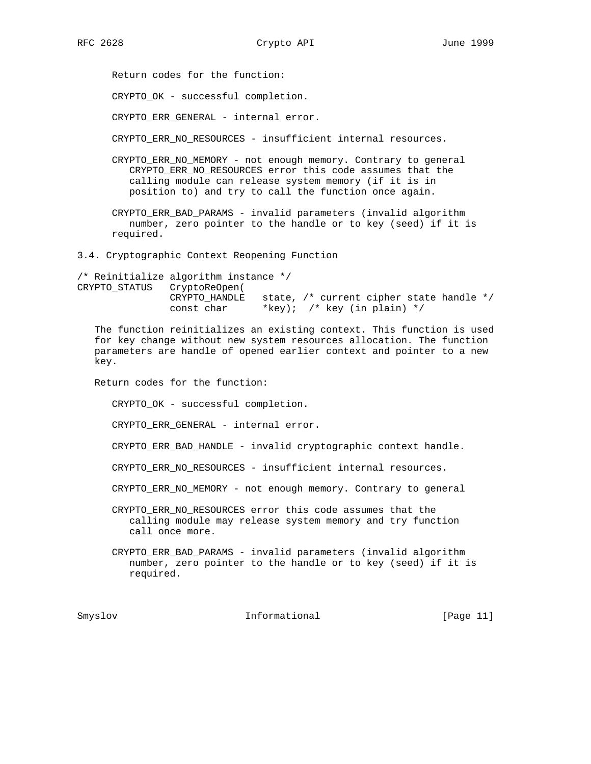Return codes for the function:

CRYPTO\_OK - successful completion.

CRYPTO\_ERR\_GENERAL - internal error.

CRYPTO\_ERR\_NO\_RESOURCES - insufficient internal resources.

 CRYPTO\_ERR\_NO\_MEMORY - not enough memory. Contrary to general CRYPTO ERR NO RESOURCES error this code assumes that the calling module can release system memory (if it is in position to) and try to call the function once again.

 CRYPTO\_ERR\_BAD\_PARAMS - invalid parameters (invalid algorithm number, zero pointer to the handle or to key (seed) if it is required.

3.4. Cryptographic Context Reopening Function

/\* Reinitialize algorithm instance \*/ CRYPTO\_STATUS CryptoReOpen( CRYPTO\_HANDLE state, /\* current cipher state handle \*/ const char \*key); /\* key (in plain) \*/

 The function reinitializes an existing context. This function is used for key change without new system resources allocation. The function parameters are handle of opened earlier context and pointer to a new key.

Return codes for the function:

CRYPTO\_OK - successful completion.

CRYPTO ERR GENERAL - internal error.

CRYPTO\_ERR\_BAD\_HANDLE - invalid cryptographic context handle.

CRYPTO\_ERR\_NO\_RESOURCES - insufficient internal resources.

CRYPTO\_ERR\_NO\_MEMORY - not enough memory. Contrary to general

 CRYPTO\_ERR\_NO\_RESOURCES error this code assumes that the calling module may release system memory and try function call once more.

 CRYPTO\_ERR\_BAD\_PARAMS - invalid parameters (invalid algorithm number, zero pointer to the handle or to key (seed) if it is required.

Smyslov **Informational** [Page 11]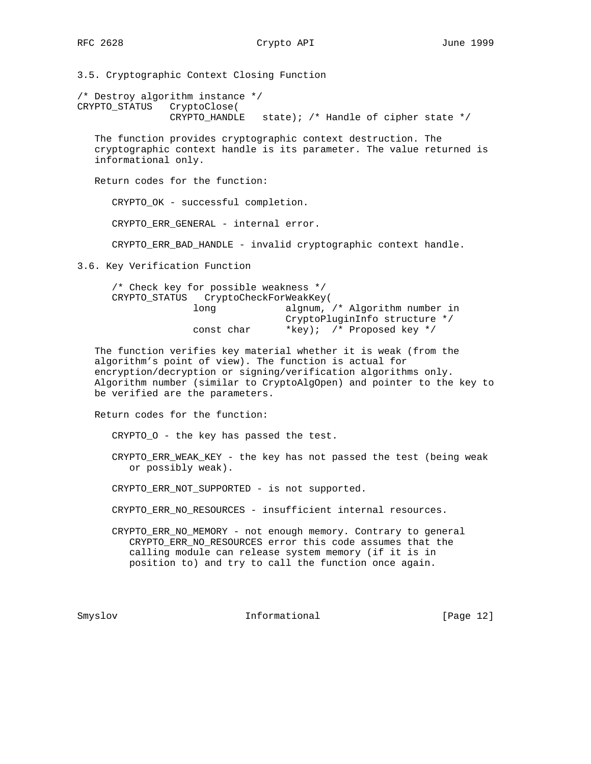3.5. Cryptographic Context Closing Function

/\* Destroy algorithm instance \*/ CRYPTO\_STATUS CryptoClose( CRYPTO\_HANDLE state); /\* Handle of cipher state \*/

 The function provides cryptographic context destruction. The cryptographic context handle is its parameter. The value returned is informational only.

Return codes for the function:

CRYPTO\_OK - successful completion.

CRYPTO\_ERR\_GENERAL - internal error.

CRYPTO\_ERR\_BAD\_HANDLE - invalid cryptographic context handle.

3.6. Key Verification Function

| $/*$ Check key for possible weakness $*/$ |                                |
|-------------------------------------------|--------------------------------|
| CRYPTO STATUS CryptoCheckForWeakKey(      |                                |
| long                                      | algnum, /* Algorithm number in |
|                                           | CryptoPluginInfo structure */  |
| const char                                | *key); /* Proposed key */      |

 The function verifies key material whether it is weak (from the algorithm's point of view). The function is actual for encryption/decryption or signing/verification algorithms only. Algorithm number (similar to CryptoAlgOpen) and pointer to the key to be verified are the parameters.

Return codes for the function:

CRYPTO\_O - the key has passed the test.

 CRYPTO\_ERR\_WEAK\_KEY - the key has not passed the test (being weak or possibly weak).

CRYPTO\_ERR\_NOT\_SUPPORTED - is not supported.

- CRYPTO\_ERR\_NO\_RESOURCES insufficient internal resources.
- CRYPTO\_ERR\_NO\_MEMORY not enough memory. Contrary to general CRYPTO\_ERR\_NO\_RESOURCES error this code assumes that the calling module can release system memory (if it is in position to) and try to call the function once again.

Smyslov **Informational** [Page 12]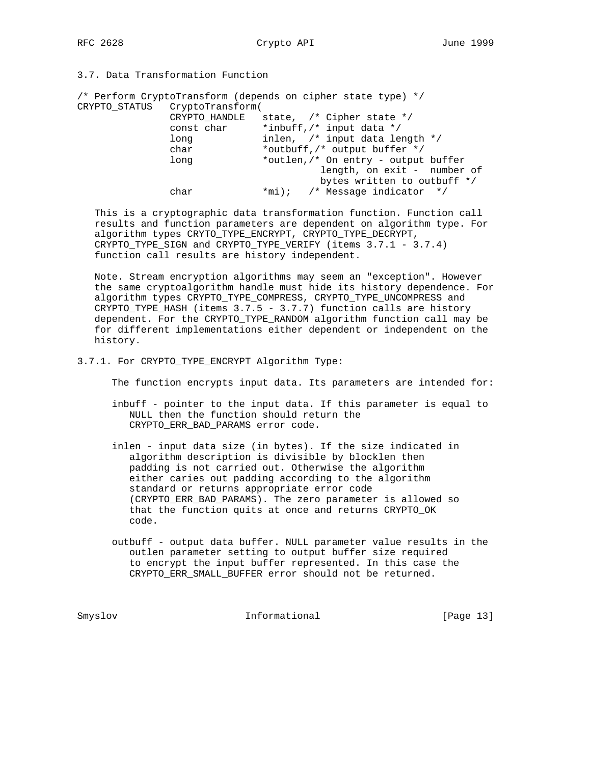# 3.7. Data Transformation Function

|                                | /* Perform CryptoTransform (depends on cipher state type) */ |
|--------------------------------|--------------------------------------------------------------|
| CRYPTO STATUS CryptoTransform( |                                                              |
| CRYPTO HANDLE                  | state, $/*$ Cipher state $*/$                                |
| const char                     | *inbuff, /* input data */                                    |
| long                           | inlen, $/*$ input data length $*/$                           |
| char                           | *outbuff, /* output buffer */                                |
| long                           | *outlen, /* On entry - output buffer                         |
|                                | length, on exit - number of                                  |
|                                | bytes written to outbuff */                                  |
| char                           | $\text{*mi}$ ); /* Message indicator */                      |
|                                |                                                              |

 This is a cryptographic data transformation function. Function call results and function parameters are dependent on algorithm type. For algorithm types CRYTO\_TYPE\_ENCRYPT, CRYPTO\_TYPE\_DECRYPT, CRYPTO\_TYPE\_SIGN and CRYPTO\_TYPE\_VERIFY (items 3.7.1 - 3.7.4) function call results are history independent.

 Note. Stream encryption algorithms may seem an "exception". However the same cryptoalgorithm handle must hide its history dependence. For algorithm types CRYPTO\_TYPE\_COMPRESS, CRYPTO\_TYPE\_UNCOMPRESS and CRYPTO\_TYPE\_HASH (items 3.7.5 - 3.7.7) function calls are history dependent. For the CRYPTO\_TYPE\_RANDOM algorithm function call may be for different implementations either dependent or independent on the history.

## 3.7.1. For CRYPTO\_TYPE\_ENCRYPT Algorithm Type:

The function encrypts input data. Its parameters are intended for:

- inbuff pointer to the input data. If this parameter is equal to NULL then the function should return the CRYPTO\_ERR\_BAD\_PARAMS error code.
- inlen input data size (in bytes). If the size indicated in algorithm description is divisible by blocklen then padding is not carried out. Otherwise the algorithm either caries out padding according to the algorithm standard or returns appropriate error code (CRYPTO\_ERR\_BAD\_PARAMS). The zero parameter is allowed so that the function quits at once and returns CRYPTO\_OK code.
- outbuff output data buffer. NULL parameter value results in the outlen parameter setting to output buffer size required to encrypt the input buffer represented. In this case the CRYPTO\_ERR\_SMALL\_BUFFER error should not be returned.

Smyslov Informational [Page 13]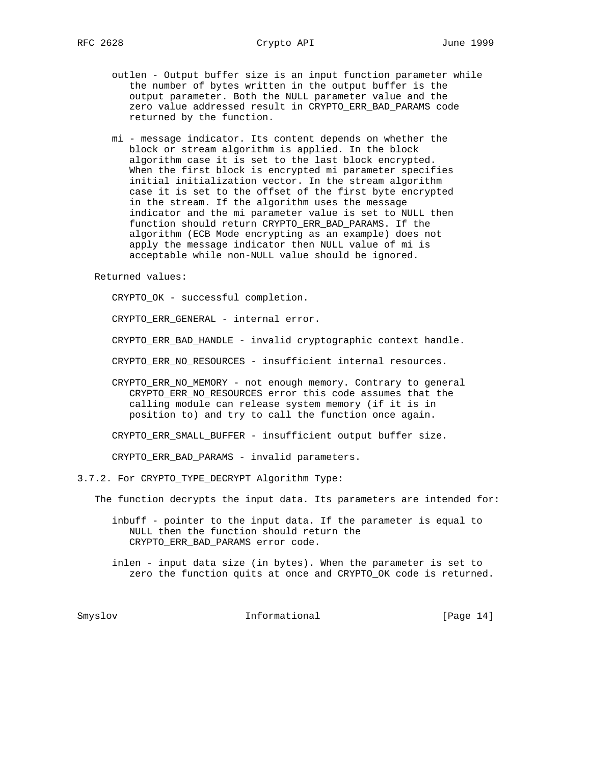- outlen Output buffer size is an input function parameter while the number of bytes written in the output buffer is the output parameter. Both the NULL parameter value and the zero value addressed result in CRYPTO\_ERR\_BAD\_PARAMS code returned by the function.
- mi message indicator. Its content depends on whether the block or stream algorithm is applied. In the block algorithm case it is set to the last block encrypted. When the first block is encrypted mi parameter specifies initial initialization vector. In the stream algorithm case it is set to the offset of the first byte encrypted in the stream. If the algorithm uses the message indicator and the mi parameter value is set to NULL then function should return CRYPTO\_ERR\_BAD\_PARAMS. If the algorithm (ECB Mode encrypting as an example) does not apply the message indicator then NULL value of mi is acceptable while non-NULL value should be ignored.

Returned values:

CRYPTO\_OK - successful completion.

CRYPTO\_ERR\_GENERAL - internal error.

CRYPTO\_ERR\_BAD\_HANDLE - invalid cryptographic context handle.

CRYPTO\_ERR\_NO\_RESOURCES - insufficient internal resources.

 CRYPTO\_ERR\_NO\_MEMORY - not enough memory. Contrary to general CRYPTO\_ERR\_NO\_RESOURCES error this code assumes that the calling module can release system memory (if it is in position to) and try to call the function once again.

CRYPTO\_ERR\_SMALL\_BUFFER - insufficient output buffer size.

CRYPTO\_ERR\_BAD\_PARAMS - invalid parameters.

3.7.2. For CRYPTO\_TYPE\_DECRYPT Algorithm Type:

The function decrypts the input data. Its parameters are intended for:

 inbuff - pointer to the input data. If the parameter is equal to NULL then the function should return the CRYPTO\_ERR\_BAD\_PARAMS error code.

 inlen - input data size (in bytes). When the parameter is set to zero the function quits at once and CRYPTO\_OK code is returned.

Smyslov Informational [Page 14]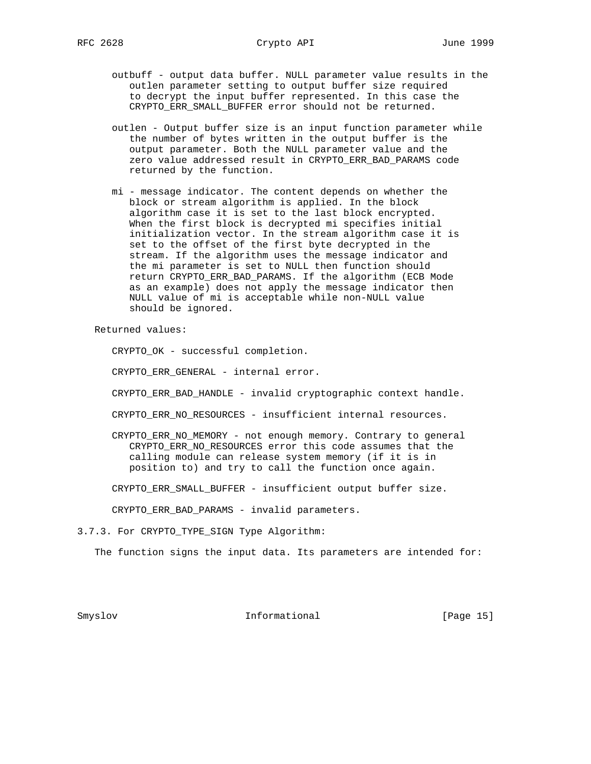- outbuff output data buffer. NULL parameter value results in the outlen parameter setting to output buffer size required to decrypt the input buffer represented. In this case the CRYPTO ERR SMALL BUFFER error should not be returned.
- outlen Output buffer size is an input function parameter while the number of bytes written in the output buffer is the output parameter. Both the NULL parameter value and the zero value addressed result in CRYPTO\_ERR\_BAD\_PARAMS code returned by the function.
- mi message indicator. The content depends on whether the block or stream algorithm is applied. In the block algorithm case it is set to the last block encrypted. When the first block is decrypted mi specifies initial initialization vector. In the stream algorithm case it is set to the offset of the first byte decrypted in the stream. If the algorithm uses the message indicator and the mi parameter is set to NULL then function should return CRYPTO\_ERR\_BAD\_PARAMS. If the algorithm (ECB Mode as an example) does not apply the message indicator then NULL value of mi is acceptable while non-NULL value should be ignored.

Returned values:

CRYPTO\_OK - successful completion.

CRYPTO\_ERR\_GENERAL - internal error.

CRYPTO\_ERR\_BAD\_HANDLE - invalid cryptographic context handle.

CRYPTO\_ERR\_NO\_RESOURCES - insufficient internal resources.

 CRYPTO\_ERR\_NO\_MEMORY - not enough memory. Contrary to general CRYPTO\_ERR\_NO\_RESOURCES error this code assumes that the calling module can release system memory (if it is in position to) and try to call the function once again.

CRYPTO\_ERR\_SMALL\_BUFFER - insufficient output buffer size.

CRYPTO\_ERR\_BAD\_PARAMS - invalid parameters.

3.7.3. For CRYPTO\_TYPE\_SIGN Type Algorithm:

The function signs the input data. Its parameters are intended for:

Smyslov **Informational** [Page 15]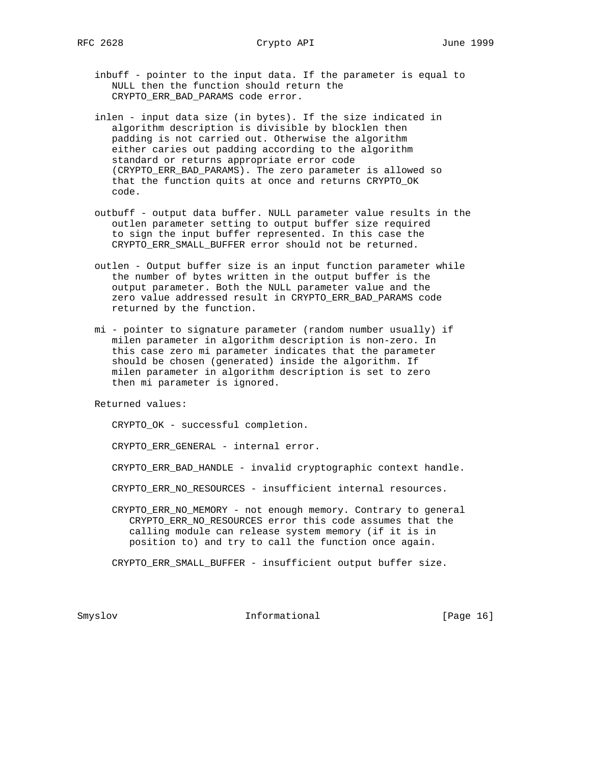- inbuff pointer to the input data. If the parameter is equal to NULL then the function should return the CRYPTO\_ERR\_BAD\_PARAMS code error.
- inlen input data size (in bytes). If the size indicated in algorithm description is divisible by blocklen then padding is not carried out. Otherwise the algorithm either caries out padding according to the algorithm standard or returns appropriate error code (CRYPTO\_ERR\_BAD\_PARAMS). The zero parameter is allowed so that the function quits at once and returns CRYPTO\_OK code.
- outbuff output data buffer. NULL parameter value results in the outlen parameter setting to output buffer size required to sign the input buffer represented. In this case the CRYPTO\_ERR\_SMALL\_BUFFER error should not be returned.
- outlen Output buffer size is an input function parameter while the number of bytes written in the output buffer is the output parameter. Both the NULL parameter value and the zero value addressed result in CRYPTO\_ERR\_BAD\_PARAMS code returned by the function.
- mi pointer to signature parameter (random number usually) if milen parameter in algorithm description is non-zero. In this case zero mi parameter indicates that the parameter should be chosen (generated) inside the algorithm. If milen parameter in algorithm description is set to zero then mi parameter is ignored.

Returned values:

CRYPTO\_OK - successful completion.

CRYPTO\_ERR\_GENERAL - internal error.

CRYPTO\_ERR\_BAD\_HANDLE - invalid cryptographic context handle.

CRYPTO\_ERR\_NO\_RESOURCES - insufficient internal resources.

 CRYPTO\_ERR\_NO\_MEMORY - not enough memory. Contrary to general CRYPTO\_ERR\_NO\_RESOURCES error this code assumes that the calling module can release system memory (if it is in position to) and try to call the function once again.

CRYPTO\_ERR\_SMALL\_BUFFER - insufficient output buffer size.

Smyslov **Informational** [Page 16]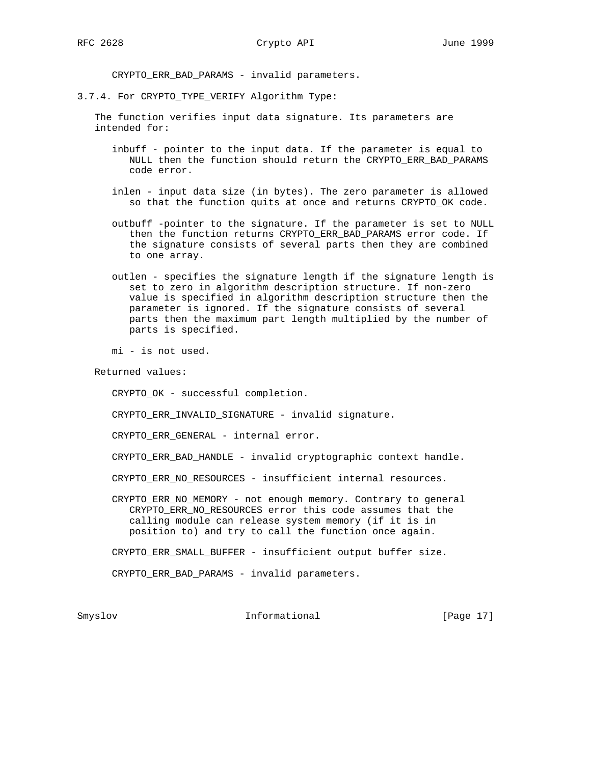CRYPTO\_ERR\_BAD\_PARAMS - invalid parameters.

3.7.4. For CRYPTO\_TYPE\_VERIFY Algorithm Type:

 The function verifies input data signature. Its parameters are intended for:

- inbuff pointer to the input data. If the parameter is equal to NULL then the function should return the CRYPTO\_ERR\_BAD\_PARAMS code error.
- inlen input data size (in bytes). The zero parameter is allowed so that the function quits at once and returns CRYPTO\_OK code.
- outbuff -pointer to the signature. If the parameter is set to NULL then the function returns CRYPTO\_ERR\_BAD\_PARAMS error code. If the signature consists of several parts then they are combined to one array.
- outlen specifies the signature length if the signature length is set to zero in algorithm description structure. If non-zero value is specified in algorithm description structure then the parameter is ignored. If the signature consists of several parts then the maximum part length multiplied by the number of parts is specified.

mi - is not used.

Returned values:

CRYPTO\_OK - successful completion.

CRYPTO\_ERR\_INVALID\_SIGNATURE - invalid signature.

CRYPTO\_ERR\_GENERAL - internal error.

CRYPTO\_ERR\_BAD\_HANDLE - invalid cryptographic context handle.

CRYPTO\_ERR\_NO\_RESOURCES - insufficient internal resources.

 CRYPTO\_ERR\_NO\_MEMORY - not enough memory. Contrary to general CRYPTO\_ERR\_NO\_RESOURCES error this code assumes that the calling module can release system memory (if it is in position to) and try to call the function once again.

CRYPTO\_ERR\_SMALL\_BUFFER - insufficient output buffer size.

CRYPTO\_ERR\_BAD\_PARAMS - invalid parameters.

Smyslov **Informational** [Page 17]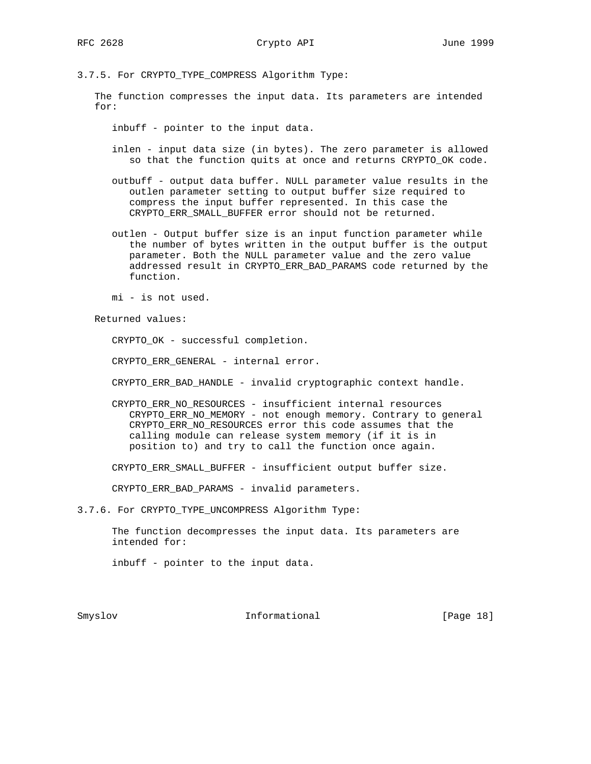3.7.5. For CRYPTO\_TYPE\_COMPRESS Algorithm Type:

 The function compresses the input data. Its parameters are intended for:

inbuff - pointer to the input data.

- inlen input data size (in bytes). The zero parameter is allowed so that the function quits at once and returns CRYPTO\_OK code.
- outbuff output data buffer. NULL parameter value results in the outlen parameter setting to output buffer size required to compress the input buffer represented. In this case the CRYPTO\_ERR\_SMALL\_BUFFER error should not be returned.
- outlen Output buffer size is an input function parameter while the number of bytes written in the output buffer is the output parameter. Both the NULL parameter value and the zero value addressed result in CRYPTO\_ERR\_BAD\_PARAMS code returned by the function.

mi - is not used.

Returned values:

CRYPTO\_OK - successful completion.

CRYPTO\_ERR\_GENERAL - internal error.

CRYPTO\_ERR\_BAD\_HANDLE - invalid cryptographic context handle.

 CRYPTO\_ERR\_NO\_RESOURCES - insufficient internal resources CRYPTO\_ERR\_NO\_MEMORY - not enough memory. Contrary to general CRYPTO\_ERR\_NO\_RESOURCES error this code assumes that the calling module can release system memory (if it is in position to) and try to call the function once again.

CRYPTO\_ERR\_SMALL\_BUFFER - insufficient output buffer size.

CRYPTO\_ERR\_BAD\_PARAMS - invalid parameters.

3.7.6. For CRYPTO\_TYPE\_UNCOMPRESS Algorithm Type:

 The function decompresses the input data. Its parameters are intended for:

inbuff - pointer to the input data.

Smyslov **Informational** [Page 18]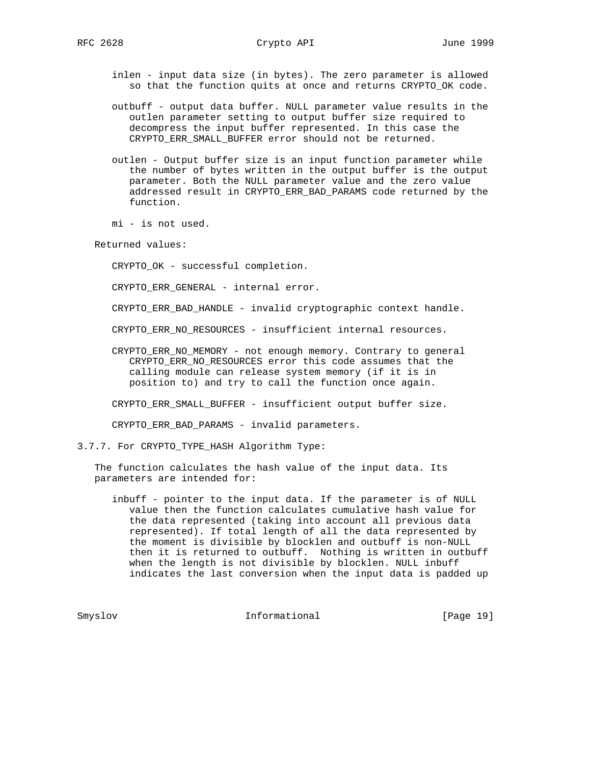inlen - input data size (in bytes). The zero parameter is allowed so that the function quits at once and returns CRYPTO\_OK code.

- outbuff output data buffer. NULL parameter value results in the outlen parameter setting to output buffer size required to decompress the input buffer represented. In this case the CRYPTO\_ERR\_SMALL\_BUFFER error should not be returned.
- outlen Output buffer size is an input function parameter while the number of bytes written in the output buffer is the output parameter. Both the NULL parameter value and the zero value addressed result in CRYPTO\_ERR\_BAD\_PARAMS code returned by the function.

mi - is not used.

Returned values:

CRYPTO\_OK - successful completion.

CRYPTO\_ERR\_GENERAL - internal error.

CRYPTO\_ERR\_BAD\_HANDLE - invalid cryptographic context handle.

CRYPTO\_ERR\_NO\_RESOURCES - insufficient internal resources.

 CRYPTO\_ERR\_NO\_MEMORY - not enough memory. Contrary to general CRYPTO\_ERR\_NO\_RESOURCES error this code assumes that the calling module can release system memory (if it is in position to) and try to call the function once again.

CRYPTO\_ERR\_SMALL\_BUFFER - insufficient output buffer size.

CRYPTO ERR BAD PARAMS - invalid parameters.

3.7.7. For CRYPTO\_TYPE\_HASH Algorithm Type:

 The function calculates the hash value of the input data. Its parameters are intended for:

 inbuff - pointer to the input data. If the parameter is of NULL value then the function calculates cumulative hash value for the data represented (taking into account all previous data represented). If total length of all the data represented by the moment is divisible by blocklen and outbuff is non-NULL then it is returned to outbuff. Nothing is written in outbuff when the length is not divisible by blocklen. NULL inbuff indicates the last conversion when the input data is padded up

Smyslov **Informational** [Page 19]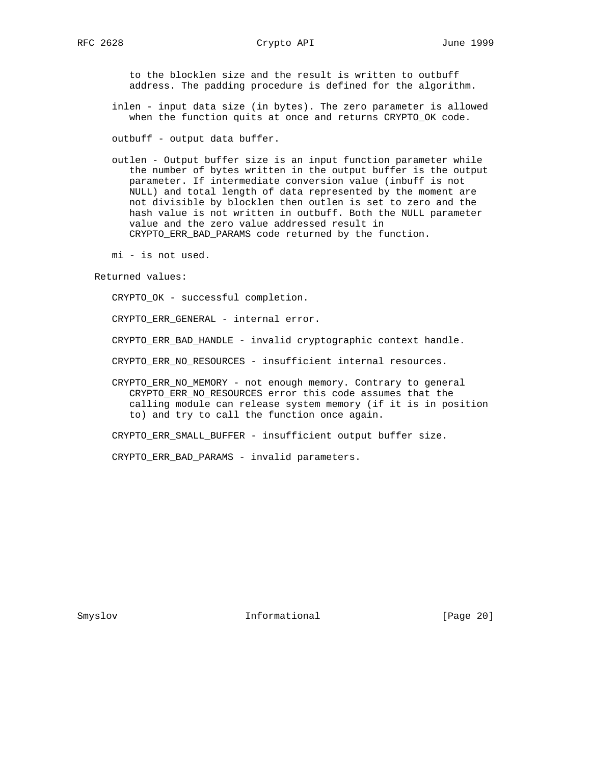to the blocklen size and the result is written to outbuff address. The padding procedure is defined for the algorithm.

- inlen input data size (in bytes). The zero parameter is allowed when the function quits at once and returns CRYPTO\_OK code.
- outbuff output data buffer.
- outlen Output buffer size is an input function parameter while the number of bytes written in the output buffer is the output parameter. If intermediate conversion value (inbuff is not NULL) and total length of data represented by the moment are not divisible by blocklen then outlen is set to zero and the hash value is not written in outbuff. Both the NULL parameter value and the zero value addressed result in CRYPTO\_ERR\_BAD\_PARAMS code returned by the function.

mi - is not used.

Returned values:

CRYPTO\_OK - successful completion.

CRYPTO\_ERR\_GENERAL - internal error.

CRYPTO\_ERR\_BAD\_HANDLE - invalid cryptographic context handle.

CRYPTO\_ERR\_NO\_RESOURCES - insufficient internal resources.

 CRYPTO\_ERR\_NO\_MEMORY - not enough memory. Contrary to general CRYPTO\_ERR\_NO\_RESOURCES error this code assumes that the calling module can release system memory (if it is in position to) and try to call the function once again.

CRYPTO\_ERR\_SMALL\_BUFFER - insufficient output buffer size.

CRYPTO\_ERR\_BAD\_PARAMS - invalid parameters.

Smyslov **Informational** [Page 20]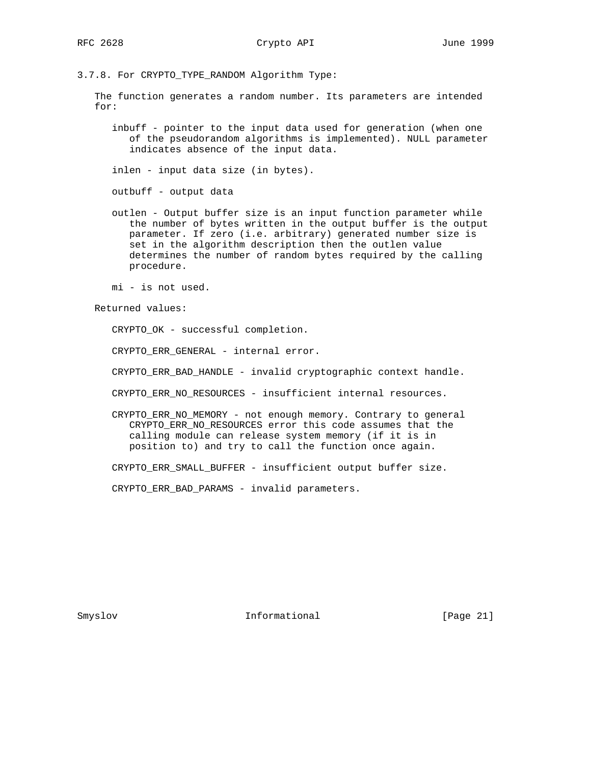3.7.8. For CRYPTO\_TYPE\_RANDOM Algorithm Type:

 The function generates a random number. Its parameters are intended for:

 inbuff - pointer to the input data used for generation (when one of the pseudorandom algorithms is implemented). NULL parameter indicates absence of the input data.

inlen - input data size (in bytes).

outbuff - output data

 outlen - Output buffer size is an input function parameter while the number of bytes written in the output buffer is the output parameter. If zero (i.e. arbitrary) generated number size is set in the algorithm description then the outlen value determines the number of random bytes required by the calling procedure.

mi - is not used.

Returned values:

CRYPTO\_OK - successful completion.

CRYPTO\_ERR\_GENERAL - internal error.

CRYPTO\_ERR\_BAD\_HANDLE - invalid cryptographic context handle.

CRYPTO\_ERR\_NO\_RESOURCES - insufficient internal resources.

 CRYPTO\_ERR\_NO\_MEMORY - not enough memory. Contrary to general CRYPTO\_ERR\_NO\_RESOURCES error this code assumes that the calling module can release system memory (if it is in position to) and try to call the function once again.

CRYPTO\_ERR\_SMALL\_BUFFER - insufficient output buffer size.

CRYPTO\_ERR\_BAD\_PARAMS - invalid parameters.

Smyslov **Informational** [Page 21]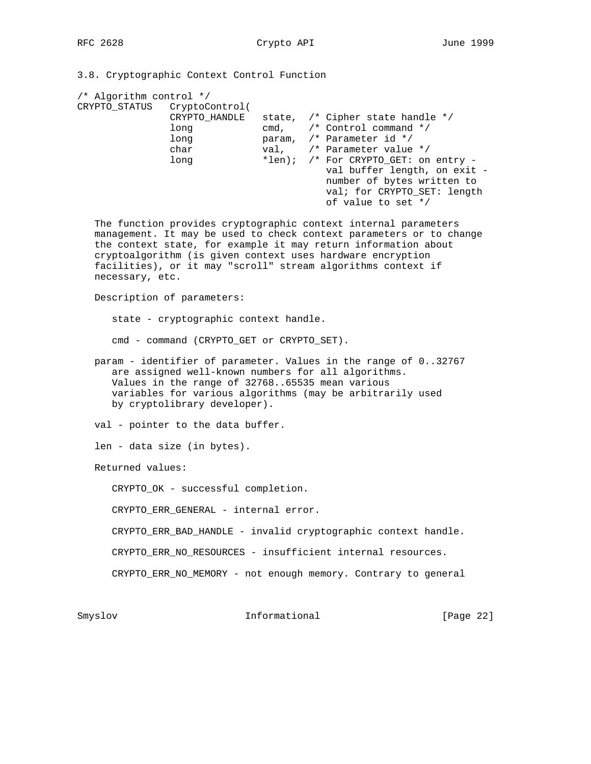3.8. Cryptographic Context Control Function

| /* Algorithm control */      |                                                                                                                                                                                                                                                                      |               |                                                                                                                                                                                                                                                                                                                                        |           |  |  |  |  |  |  |  |
|------------------------------|----------------------------------------------------------------------------------------------------------------------------------------------------------------------------------------------------------------------------------------------------------------------|---------------|----------------------------------------------------------------------------------------------------------------------------------------------------------------------------------------------------------------------------------------------------------------------------------------------------------------------------------------|-----------|--|--|--|--|--|--|--|
| CRYPTO_STATUS CryptoControl( | CRYPTO_HANDLE<br>long<br>long<br>char<br>long                                                                                                                                                                                                                        |               | state, /* Cipher state handle */<br>cmd, $/*$ Control command $*/$<br>param, /* Parameter id */<br>val, /* Parameter value */<br>*len); /* For CRYPTO_GET: on entry -<br>val buffer length, on exit -<br>number of bytes written to<br>val; for CRYPTO_SET: length<br>of value to set */                                               |           |  |  |  |  |  |  |  |
| necessary, etc.              |                                                                                                                                                                                                                                                                      |               | The function provides cryptographic context internal parameters<br>management. It may be used to check context parameters or to change<br>the context state, for example it may return information about<br>cryptoalgorithm (is given context uses hardware encryption<br>facilities), or it may "scroll" stream algorithms context if |           |  |  |  |  |  |  |  |
|                              | Description of parameters:                                                                                                                                                                                                                                           |               |                                                                                                                                                                                                                                                                                                                                        |           |  |  |  |  |  |  |  |
|                              | state - cryptographic context handle.                                                                                                                                                                                                                                |               |                                                                                                                                                                                                                                                                                                                                        |           |  |  |  |  |  |  |  |
|                              | cmd - command (CRYPTO_GET or CRYPTO_SET).                                                                                                                                                                                                                            |               |                                                                                                                                                                                                                                                                                                                                        |           |  |  |  |  |  |  |  |
|                              | param - identifier of parameter. Values in the range of 032767<br>are assigned well-known numbers for all algorithms.<br>Values in the range of 3276865535 mean various<br>variables for various algorithms (may be arbitrarily used<br>by cryptolibrary developer). |               |                                                                                                                                                                                                                                                                                                                                        |           |  |  |  |  |  |  |  |
|                              | val - pointer to the data buffer.                                                                                                                                                                                                                                    |               |                                                                                                                                                                                                                                                                                                                                        |           |  |  |  |  |  |  |  |
|                              | len - data size (in bytes).                                                                                                                                                                                                                                          |               |                                                                                                                                                                                                                                                                                                                                        |           |  |  |  |  |  |  |  |
| Returned values:             |                                                                                                                                                                                                                                                                      |               |                                                                                                                                                                                                                                                                                                                                        |           |  |  |  |  |  |  |  |
|                              | CRYPTO_OK - successful completion.                                                                                                                                                                                                                                   |               |                                                                                                                                                                                                                                                                                                                                        |           |  |  |  |  |  |  |  |
|                              | CRYPTO ERR GENERAL - internal error.                                                                                                                                                                                                                                 |               |                                                                                                                                                                                                                                                                                                                                        |           |  |  |  |  |  |  |  |
|                              |                                                                                                                                                                                                                                                                      |               | CRYPTO_ERR_BAD_HANDLE - invalid cryptographic context handle.                                                                                                                                                                                                                                                                          |           |  |  |  |  |  |  |  |
|                              |                                                                                                                                                                                                                                                                      |               | CRYPTO_ERR_NO_RESOURCES - insufficient internal resources.                                                                                                                                                                                                                                                                             |           |  |  |  |  |  |  |  |
|                              |                                                                                                                                                                                                                                                                      |               | CRYPTO_ERR_NO_MEMORY - not enough memory. Contrary to general                                                                                                                                                                                                                                                                          |           |  |  |  |  |  |  |  |
| Smyslov                      |                                                                                                                                                                                                                                                                      | Informational |                                                                                                                                                                                                                                                                                                                                        | [Page 22] |  |  |  |  |  |  |  |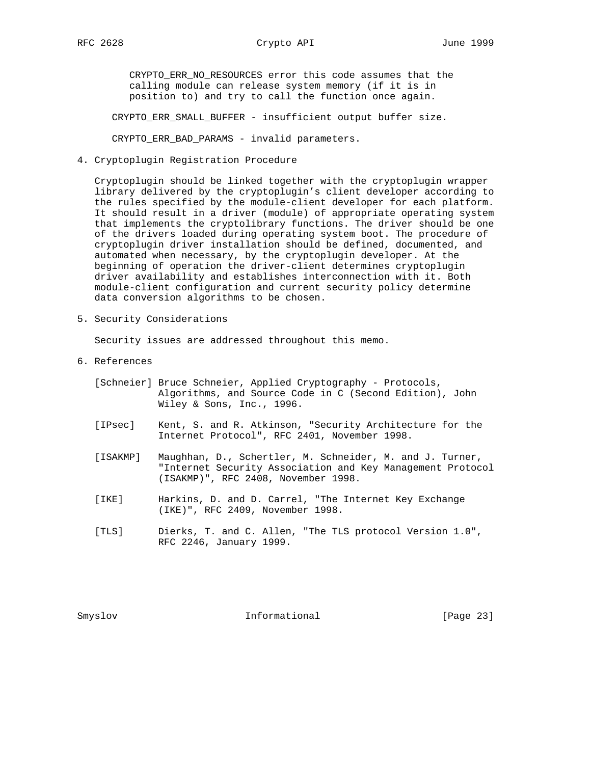CRYPTO\_ERR\_NO\_RESOURCES error this code assumes that the calling module can release system memory (if it is in position to) and try to call the function once again.

CRYPTO\_ERR\_SMALL\_BUFFER - insufficient output buffer size.

CRYPTO\_ERR\_BAD\_PARAMS - invalid parameters.

4. Cryptoplugin Registration Procedure

 Cryptoplugin should be linked together with the cryptoplugin wrapper library delivered by the cryptoplugin's client developer according to the rules specified by the module-client developer for each platform. It should result in a driver (module) of appropriate operating system that implements the cryptolibrary functions. The driver should be one of the drivers loaded during operating system boot. The procedure of cryptoplugin driver installation should be defined, documented, and automated when necessary, by the cryptoplugin developer. At the beginning of operation the driver-client determines cryptoplugin driver availability and establishes interconnection with it. Both module-client configuration and current security policy determine data conversion algorithms to be chosen.

5. Security Considerations

Security issues are addressed throughout this memo.

- 6. References
	- [Schneier] Bruce Schneier, Applied Cryptography Protocols, Algorithms, and Source Code in C (Second Edition), John Wiley & Sons, Inc., 1996.
	- [IPsec] Kent, S. and R. Atkinson, "Security Architecture for the Internet Protocol", RFC 2401, November 1998.
	- [ISAKMP] Maughhan, D., Schertler, M. Schneider, M. and J. Turner, "Internet Security Association and Key Management Protocol (ISAKMP)", RFC 2408, November 1998.
	- [IKE] Harkins, D. and D. Carrel, "The Internet Key Exchange (IKE)", RFC 2409, November 1998.
	- [TLS] Dierks, T. and C. Allen, "The TLS protocol Version 1.0", RFC 2246, January 1999.

Smyslov **Informational** [Page 23]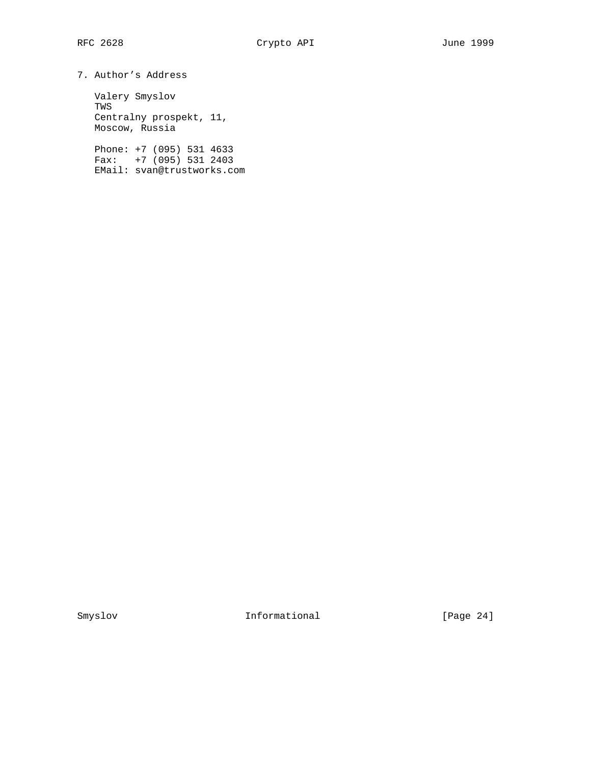```
7. Author's Address
```
 Valery Smyslov TWS Centralny prospekt, 11, Moscow, Russia

 Phone: +7 (095) 531 4633 Fax: +7 (095) 531 2403 EMail: svan@trustworks.com

Smyslov Informational [Page 24]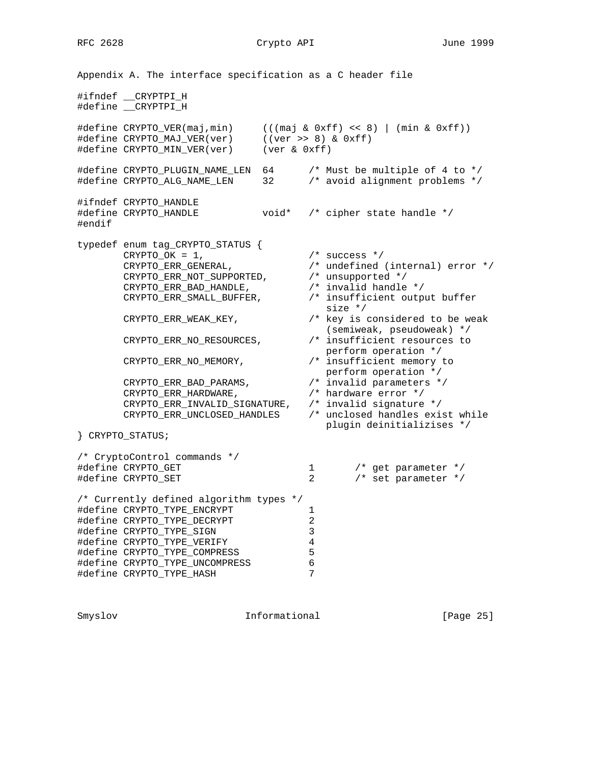# RFC 2628 Crypto API June 1999

Appendix A. The interface specification as a C header file #ifndef \_\_CRYPTPI\_H #define \_\_CRYPTPI\_H #define CRYPTO\_VER(maj,min) (((maj & 0xff) << 8) | (min & 0xff)) #define CRYPTO\_MAJ\_VER(ver) ((ver >> 8) & 0xff) #define CRYPTO\_MIN\_VER(ver) (ver & 0xff) #define CRYPTO\_PLUGIN\_NAME\_LEN 64 /\* Must be multiple of 4 to \*/<br>#define CRYPTO\_ALG\_NAME\_LEN 32 /\* avoid alignment problems \*/ #define CRYPTO\_ALG\_NAME\_LEN 32 #ifndef CRYPTO\_HANDLE #define CRYPTO\_HANDLE void\* /\* cipher state handle \*/ #endif typedef enum tag\_CRYPTO\_STATUS {  $C\text{RYPTO}\_\text{OK} = 1$ ,  $\frac{1}{2}$  /\* success \*/ CRYPTO\_ERR\_GENERAL, /\* undefined (internal) error \*/ CRYPTO\_ERR\_NOT\_SUPPORTED, /\* unsupported \*/ CRYPTO\_ERR\_BAD\_HANDLE, /\* invalid handle \*/ CRYPTO\_ERR\_SMALL\_BUFFER, /\* insufficient output buffer size \*/ CRYPTO\_ERR\_WEAK\_KEY, /\* key is considered to be weak (semiweak, pseudoweak) \*/ CRYPTO\_ERR\_NO\_RESOURCES, /\* insufficient resources to perform operation \*/ CRYPTO\_ERR\_NO\_MEMORY, /\* insufficient memory to perform operation \*/ CRYPTO\_ERR\_BAD\_PARAMS, /\* invalid parameters \*/ CRYPTO\_ERR\_HARDWARE, /\* hardware error \*/ CRYPTO\_ERR\_INVALID\_SIGNATURE, /\* invalid signature \*/ CRYPTO\_ERR\_UNCLOSED\_HANDLES /\* unclosed handles exist while plugin deinitializises \*/ } CRYPTO\_STATUS; /\* CryptoControl commands \*/ #define CRYPTO\_GET 1 /\* get parameter \*/ #define CRYPTO\_SET 2 /\* set parameter \*/ /\* Currently defined algorithm types \*/ #define CRYPTO\_TYPE\_ENCRYPT 1<br>#define CRYPTO\_TYPE DECRYPT 2 #define CRYPTO\_TYPE\_DECRYPT 2 #define CRYPTO\_TYPE\_SIGN 3 #define CRYPTO\_TYPE\_VERIFY 4 #define CRYPTO\_TYPE\_COMPRESS 5<br>#define CRYPTO\_TYPE\_COMPRESS 5 #define CRYPTO\_TYPE\_UNCOMPRESS 6 #define CRYPTO\_TYPE\_HASH 7

Smyslov Informational [Page 25]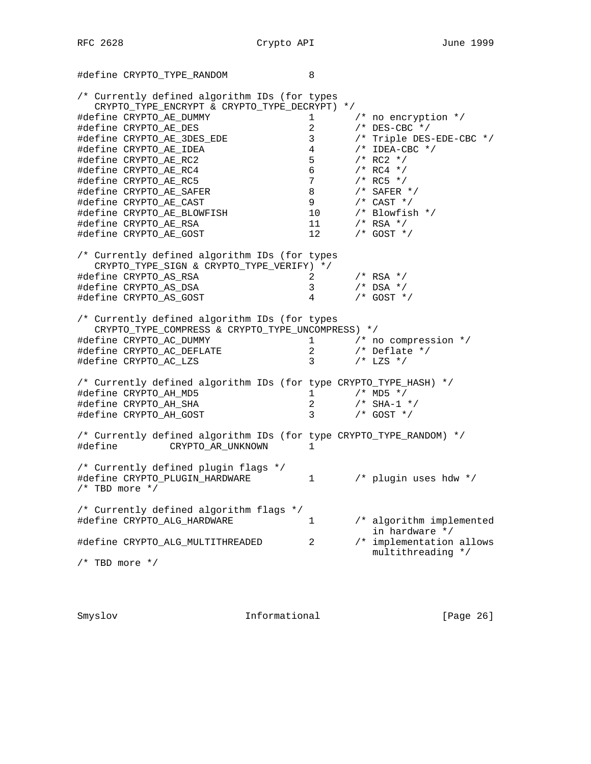#define CRYPTO\_TYPE\_RANDOM 8

/\* Currently defined algorithm IDs (for types CRYPTO\_TYPE\_ENCRYPT & CRYPTO\_TYPE\_DECRYPT) \*/ #define CRYPTO\_AE\_DUMMY 1 /\* no encryption \*/ #define CRYPTO\_AE\_DES 2 /\* DES-CBC \*/ #define CRYPTO\_AE\_3DES\_EDE 3 /\* Triple DES-EDE-CBC \*/ #define CRYPTO\_AE\_IDEA 4 /\* IDEA-CBC \*/ #define CRYPTO\_AE\_RC2 5 /\* RC2 \*/ #define CRYPTO\_AE\_RC4 6 /\* RC4 \*/ #define CRYPTO\_AE\_RC5 7 /\* RC5 \*/ #define CRYPTO\_AE\_SAFER 8 /\* SAFER \*/ #define CRYPTO\_AE\_CAST 9 /\* CAST \*/ #define CRYPTO\_AE\_BLOWFISH 10 /\* Blowfish \*/ #define CRYPTO\_AE\_RSA 11 /\* RSA \*/ #define CRYPTO\_AE\_GOST 12 /\* GOST \*/ /\* Currently defined algorithm IDs (for types CRYPTO\_TYPE\_SIGN & CRYPTO\_TYPE\_VERIFY) \*/ #define CRYPTO\_AS\_RSA 2 /\* RSA \*/ #define CRYPTO\_AS\_DSA 3 /\* DSA \*/ #define CRYPTO\_AS\_GOST 4 /\* GOST \*/ /\* Currently defined algorithm IDs (for types CRYPTO\_TYPE\_COMPRESS & CRYPTO\_TYPE\_UNCOMPRESS) \*/ #define CRYPTO\_AC\_DUMMY 1 /\* no compression \*/ #define CRYPTO\_AC\_DEFLATE 2 /\* Deflate \*/ #define CRYPTO\_AC\_LZS 3 /\* LZS \*/ /\* Currently defined algorithm IDs (for type CRYPTO\_TYPE\_HASH) \*/ #define CRYPTO\_AH\_MD5 1 /\* MD5 \*/ #define CRYPTO\_AH\_SHA 2 /\* SHA-1 \*/ #define CRYPTO\_AH\_GOST 3 /\* GOST \*/ /\* Currently defined algorithm IDs (for type CRYPTO\_TYPE\_RANDOM) \*/ #define CRYPTO\_AR\_UNKNOWN 1 /\* Currently defined plugin flags \*/ #define CRYPTO\_PLUGIN\_HARDWARE 1 /\* plugin uses hdw \*/  $/*$  TBD more  $*/$ /\* Currently defined algorithm flags \*/ #define CRYPTO\_ALG\_HARDWARE 1 /\* algorithm implemented in hardware  $\star$ / #define CRYPTO\_ALG\_MULTITHREADED 2 /\* implementation allows multithreading  $\star$ / /\* TBD more \*/

Smyslov Informational [Page 26]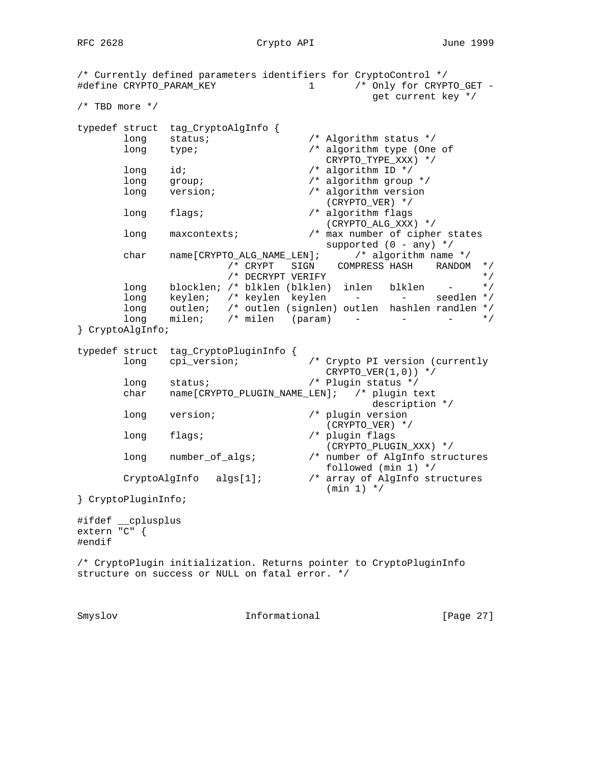RFC 2628 Crypto API June 1999

/\* Currently defined parameters identifiers for CryptoControl \*/ #define CRYPTO\_PARAM\_KEY 1 /\* Only for CRYPTO\_GET get current key \*/ /\* TBD more \*/ typedef struct tag\_CryptoAlgInfo { long status;  $\frac{1}{2}$  /\* Algorithm status \*/ long type; /\* algorithm type (One of CRYPTO\_TYPE\_XXX) \*/<br>long id;  $\frac{1}{3}$  /\* algorithm ID \*/  $\frac{1}{4}$  algorithm ID \*/<br> $\frac{1}{4}$  algorithm group \*/ long group;  $\sqrt{x}$  algorithm group  $\sqrt{x}$  long version; /\* algorithm version (CRYPTO\_VER) \*/ long flags;  $\frac{1}{2}$  /\* algorithm flags (CRYPTO\_ALG\_XXX) \*/ long maxcontexts; /\* max number of cipher states supported  $(0 - any)$  \*/ char name[CRYPTO\_ALG\_NAME\_LEN]; /\* algorithm name \*/ /\* CRYPT SIGN COMPRESS HASH RANDOM \*/ /\* DECRYPT VERIFY \*/ long blocklen; /\* blklen (blklen) inlen blklen long keylen; /\* keylen keylen - - seedlen \*/ long outlen; /\* outlen (signlen) outlen hashlen randlen \*/ long milen; /\* milen (param) - - - - \*/ } CryptoAlgInfo; typedef struct tag\_CryptoPluginInfo { long cpi\_version; /\* Crypto PI version (currently  $CRYPTO_VER(1,0))$  \*/ long status; /\* Plugin status \*/ char name[CRYPTO\_PLUGIN\_NAME\_LEN]; /\* plugin text description \*/ long version; /\* plugin version (CRYPTO\_VER) \*/ long flags; /\* plugin flags (CRYPTO\_PLUGIN\_XXX) \*/ long number\_of\_algs; /\* number of AlgInfo structures  $\mbox{\tt CryptoAlgInfo} \quad \mbox{algs[1]}\,; \qquad \qquad \mbox{\tt /* array of AlgInfo str}$  $k$  array of AlgInfo structures (min 1) \*/ } CryptoPluginInfo; #ifdef \_\_cplusplus extern "C" { #endif /\* CryptoPlugin initialization. Returns pointer to CryptoPluginInfo structure on success or NULL on fatal error. \*/ Smyslov **Informational** [Page 27]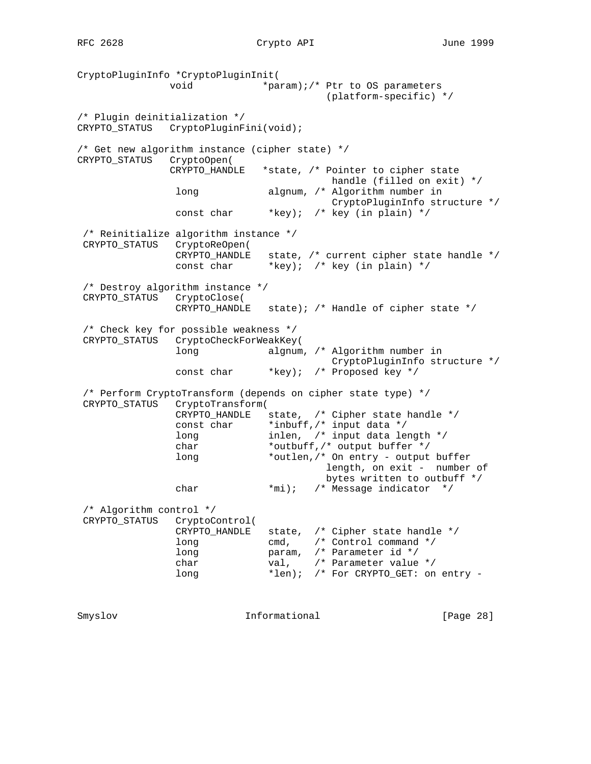CryptoPluginInfo \*CryptoPluginInit( void \*param);/\* Ptr to OS parameters (platform-specific) \*/ /\* Plugin deinitialization \*/ CRYPTO\_STATUS CryptoPluginFini(void); /\* Get new algorithm instance (cipher state) \*/ CRYPTO\_STATUS CryptoOpen( CRYPTO\_HANDLE \*state, /\* Pointer to cipher state handle (filled on exit) \*/ long algnum, /\* Algorithm number in CryptoPluginInfo structure \*/ const char \*key); /\* key (in plain) \*/ /\* Reinitialize algorithm instance \*/ CRYPTO\_STATUS CryptoReOpen( CRYPTO\_HANDLE state, /\* current cipher state handle \*/ const char \*key); /\* key (in plain) \*/ /\* Destroy algorithm instance \*/ CRYPTO\_STATUS CryptoClose( CRYPTO\_HANDLE state); /\* Handle of cipher state \*/ /\* Check key for possible weakness \*/ CRYPTO\_STATUS CryptoCheckForWeakKey( long algnum, /\* Algorithm number in CryptoPluginInfo structure \*/ const char \*key); /\* Proposed key \*/ /\* Perform CryptoTransform (depends on cipher state type) \*/ CRYPTO\_STATUS CryptoTransform( CRYPTO\_HANDLE state, /\* Cipher state handle \*/ const char \*inbuff, /\* input data \*/ long inlen, /\* input data length \*/ char \*outbuff,/\* output buffer \*/ long \*outlen,/\* On entry - output buffer length, on exit - number of bytes written to outbuff \*/ char \*mi); /\* Message indicator \*/ /\* Algorithm control \*/ CRYPTO\_STATUS CryptoControl( CRYPTO\_HANDLE state, /\* Cipher state handle \*/ long cmd,  $\frac{1}{2}$  cmm  $\frac{1}{2}$  control command \*/ long param, /\* Parameter id \*/ char val,  $\frac{1}{1}$  val,  $\frac{1}{1}$  Parameter value \*/ long \*len); /\* For CRYPTO\_GET: on entry -

Smyslov **Informational** [Page 28]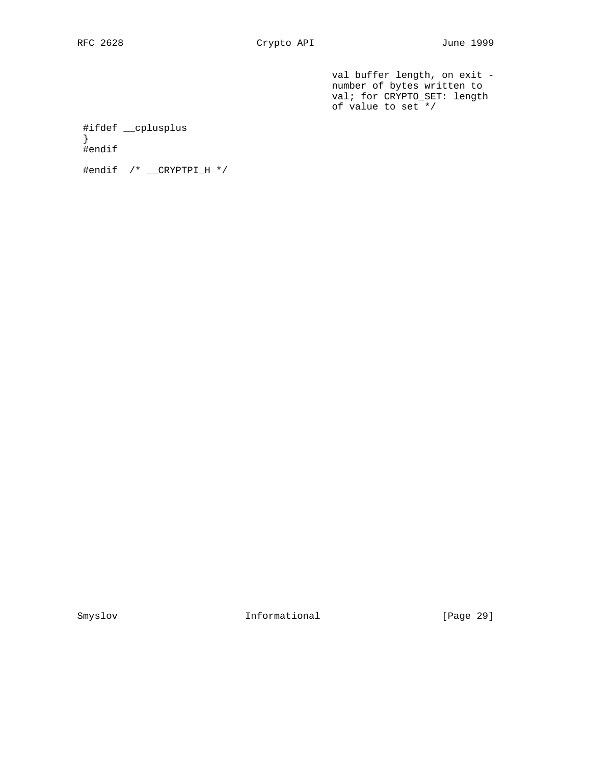val buffer length, on exit number of bytes written to val; for CRYPTO\_SET: length of value to set \*/

#ifdef \_\_cplusplus

 } #endif

#endif /\* \_\_CRYPTPI\_H \*/

Smyslov Informational [Page 29]